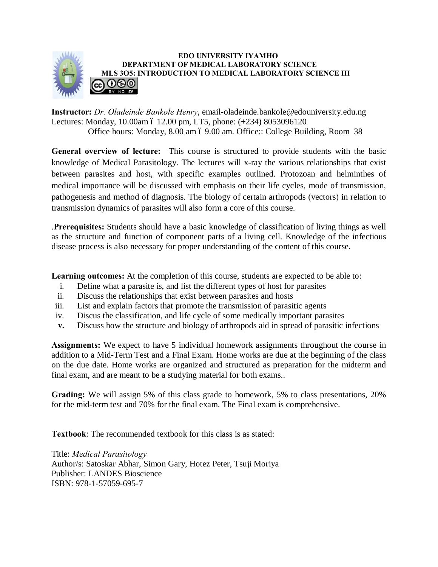

## **EDO UNIVERSITY IYAMHO DEPARTMENT OF MEDICAL LABORATORY SCIENCE MLS 3O5: INTRODUCTION TO MEDICAL LABORATORY SCIENCE III**  <u>ଇ ୦୭୭</u>

**Instructor:** *Dr. Oladeinde Bankole Henry*, email-oladeinde.bankole@edouniversity.edu.ng Lectures: Monday, 10.00am ó 12.00 pm, LT5, phone: (+234) 8053096120 Office hours: Monday, 8.00 am 6 9.00 am. Office:: College Building, Room 38

**General overview of lecture:** This course is structured to provide students with the basic knowledge of Medical Parasitology. The lectures will x-ray the various relationships that exist between parasites and host, with specific examples outlined. Protozoan and helminthes of medical importance will be discussed with emphasis on their life cycles, mode of transmission, pathogenesis and method of diagnosis. The biology of certain arthropods (vectors) in relation to transmission dynamics of parasites will also form a core of this course.

.**Prerequisites:** Students should have a basic knowledge of classification of living things as well as the structure and function of component parts of a living cell. Knowledge of the infectious disease process is also necessary for proper understanding of the content of this course.

**Learning outcomes:** At the completion of this course, students are expected to be able to:

- i. Define what a parasite is, and list the different types of host for parasites
- ii. Discuss the relationships that exist between parasites and hosts
- iii. List and explain factors that promote the transmission of parasitic agents
- iv. Discus the classification, and life cycle of some medically important parasites
- **v.** Discuss how the structure and biology of arthropods aid in spread of parasitic infections

**Assignments:** We expect to have 5 individual homework assignments throughout the course in addition to a Mid-Term Test and a Final Exam. Home works are due at the beginning of the class on the due date. Home works are organized and structured as preparation for the midterm and final exam, and are meant to be a studying material for both exams..

**Grading:** We will assign 5% of this class grade to homework, 5% to class presentations, 20% for the mid-term test and 70% for the final exam. The Final exam is comprehensive.

**Textbook**: The recommended textbook for this class is as stated:

Title: *Medical Parasitology* Author/s: Satoskar Abhar, Simon Gary, Hotez Peter, Tsuji Moriya Publisher: LANDES Bioscience ISBN: 978-1-57059-695-7